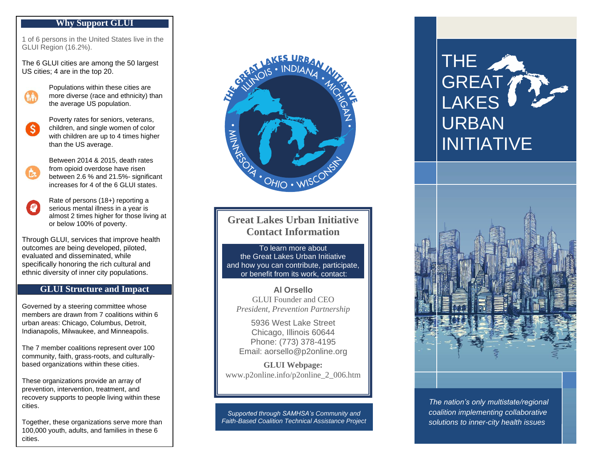### **Why Support GLUI**

1 of 6 persons in the United States live in the GLUI Region (16.2%) .

The 6 GLUI cities are among the 50 largest US cities; 4 are in the top 20 .



 $\mathsf{S}$ 

Populations within these cities are more diverse (race and ethnicity) than the average US population .

Poverty rates for seniors, veterans, children , and single women of color with children are up to 4 times higher than the US average .

Between 2014 & 2015, death rates from opioid overdose have risen between 2.6 % and 21.5% - significant increases for 4 of the 6 GLUI states .

Rate of persons (18+) reporting a  $\bullet$ serious mental illness in a year is almost 2 times higher for those living at or below 100% of poverty .

Through GLUI, services that improve health outcomes are being developed, piloted, evaluated and disseminated, while specifically honoring the rich cultural and ethnic diversity of inner city populations.

# **GLUI Structure and Impact**

Governed by a steering committee whose members are drawn from 7 coalitions within 6 urban areas: Chicago, Columbus, Detroit, Indianapolis, Milwaukee, and Minneapolis .

The 7 member coalitions represent over 100 community, faith, grass -roots , and culturally based organizations within these cities .

These organizations provide an array of prevention, intervention, treatment , and recovery supports to people living within these cities .

Together, these organizations serve more than 100,000 youth, adults, and families in these 6 cities .



# **Great Lakes Urban Initiative Contact Information**

To learn more about the Great Lakes Urban Initiative and how you can contribute, participate, or benefit from its work, contact:

**Al Orsello** GLUI Founder and CEO *President, Prevention Partnership*

5936 West Lake Street Chicago, Illinois 60644 Phone: (773) 378 -4195 Email: aorsello@p2online.org

**GLUI Webpage:** www.p2online.info/p2online\_2\_006.htm

*Supported through SAMHSA's Community and Faith -Based Coalition Technical Assistance Project*

# THE GREAT LAKES URBAN INITIATIVE



*The nation's only multistate/regional coalition implementing collaborative solutions to inner-city health issues*